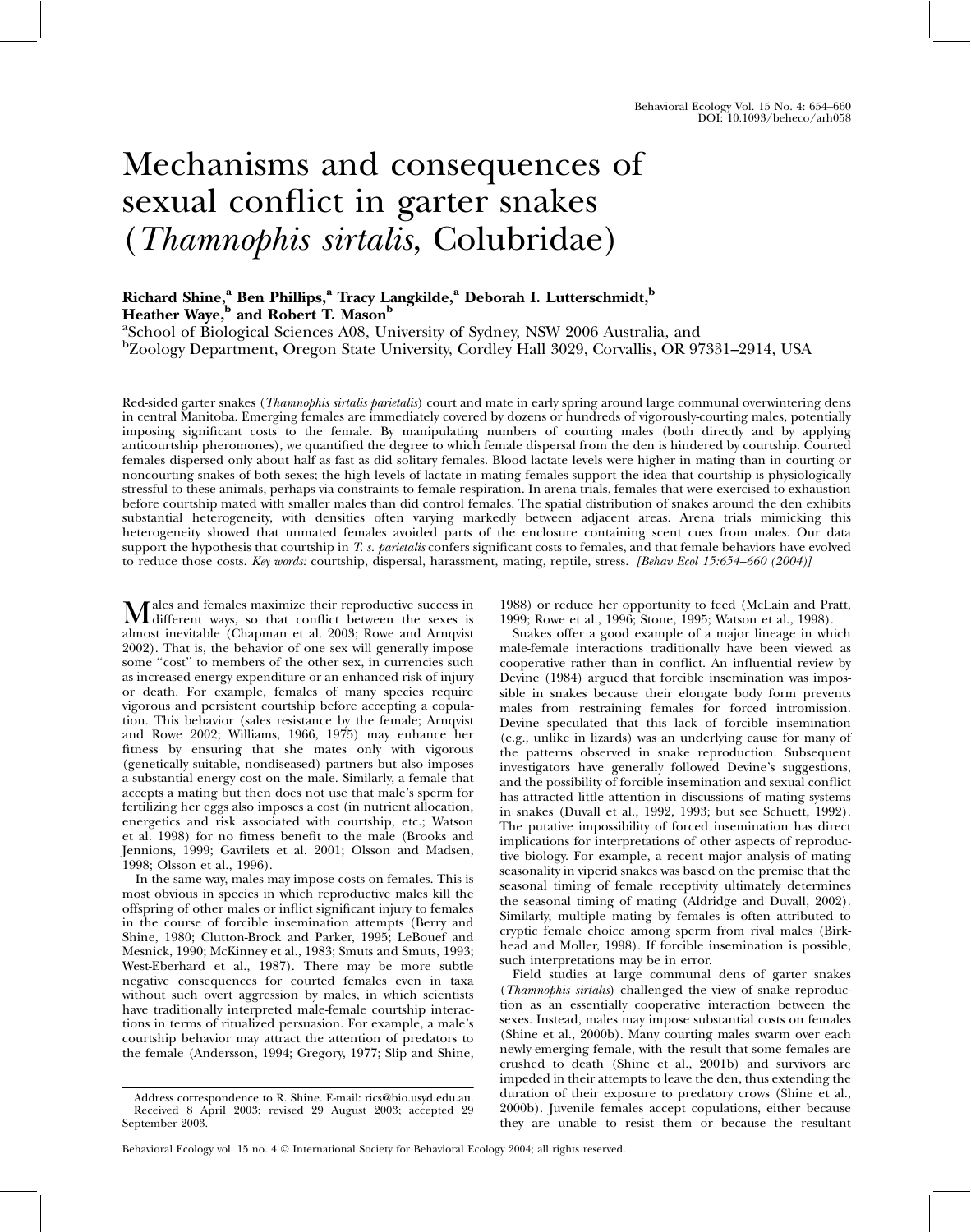# Mechanisms and consequences of sexual conflict in garter snakes (Thamnophis sirtalis, Colubridae)

## Richard Shine,<sup>a</sup> Ben Phillips,<sup>a</sup> Tracy Langkilde,<sup>a</sup> Deborah I. Lutterschmidt,<sup>b</sup> Heather Waye,<sup>b</sup> and Robert T. Mason<sup>b</sup>

a School of Biological Sciences A08, University of Sydney, NSW 2006 Australia, and b Zoology Department, Oregon State University, Cordley Hall 3029, Corvallis, OR 97331–2914, USA

Red-sided garter snakes (*Thamnophis sirtalis parietalis*) court and mate in early spring around large communal overwintering dens in central Manitoba. Emerging females are immediately covered by dozens or hundreds of vigorously-courting males, potentially imposing significant costs to the female. By manipulating numbers of courting males (both directly and by applying anticourtship pheromones), we quantified the degree to which female dispersal from the den is hindered by courtship. Courted females dispersed only about half as fast as did solitary females. Blood lactate levels were higher in mating than in courting or noncourting snakes of both sexes; the high levels of lactate in mating females support the idea that courtship is physiologically stressful to these animals, perhaps via constraints to female respiration. In arena trials, females that were exercised to exhaustion before courtship mated with smaller males than did control females. The spatial distribution of snakes around the den exhibits substantial heterogeneity, with densities often varying markedly between adjacent areas. Arena trials mimicking this heterogeneity showed that unmated females avoided parts of the enclosure containing scent cues from males. Our data support the hypothesis that courtship in T. s. parietalis confers significant costs to females, and that female behaviors have evolved to reduce those costs. Key words: courtship, dispersal, harassment, mating, reptile, stress. [Behav Ecol 15:654–660 (2004)]

**Males and females maximize their reproductive success in**<br>different ways, so that conflict between the sexes is<br>almost incritiable (Channee at al. 2002; Baye and America almost inevitable (Chapman et al. 2003; Rowe and Arnqvist 2002). That is, the behavior of one sex will generally impose some ''cost'' to members of the other sex, in currencies such as increased energy expenditure or an enhanced risk of injury or death. For example, females of many species require vigorous and persistent courtship before accepting a copulation. This behavior (sales resistance by the female; Arnqvist and Rowe 2002; Williams, 1966, 1975) may enhance her fitness by ensuring that she mates only with vigorous (genetically suitable, nondiseased) partners but also imposes a substantial energy cost on the male. Similarly, a female that accepts a mating but then does not use that male's sperm for fertilizing her eggs also imposes a cost (in nutrient allocation, energetics and risk associated with courtship, etc.; Watson et al. 1998) for no fitness benefit to the male (Brooks and Jennions, 1999; Gavrilets et al. 2001; Olsson and Madsen, 1998; Olsson et al., 1996).

In the same way, males may impose costs on females. This is most obvious in species in which reproductive males kill the offspring of other males or inflict significant injury to females in the course of forcible insemination attempts (Berry and Shine, 1980; Clutton-Brock and Parker, 1995; LeBouef and Mesnick, 1990; McKinney et al., 1983; Smuts and Smuts, 1993; West-Eberhard et al., 1987). There may be more subtle negative consequences for courted females even in taxa without such overt aggression by males, in which scientists have traditionally interpreted male-female courtship interactions in terms of ritualized persuasion. For example, a male's courtship behavior may attract the attention of predators to the female (Andersson, 1994; Gregory, 1977; Slip and Shine,

1988) or reduce her opportunity to feed (McLain and Pratt, 1999; Rowe et al., 1996; Stone, 1995; Watson et al., 1998).

Snakes offer a good example of a major lineage in which male-female interactions traditionally have been viewed as cooperative rather than in conflict. An influential review by Devine (1984) argued that forcible insemination was impossible in snakes because their elongate body form prevents males from restraining females for forced intromission. Devine speculated that this lack of forcible insemination (e.g., unlike in lizards) was an underlying cause for many of the patterns observed in snake reproduction. Subsequent investigators have generally followed Devine's suggestions, and the possibility of forcible insemination and sexual conflict has attracted little attention in discussions of mating systems in snakes (Duvall et al., 1992, 1993; but see Schuett, 1992). The putative impossibility of forced insemination has direct implications for interpretations of other aspects of reproductive biology. For example, a recent major analysis of mating seasonality in viperid snakes was based on the premise that the seasonal timing of female receptivity ultimately determines the seasonal timing of mating (Aldridge and Duvall, 2002). Similarly, multiple mating by females is often attributed to cryptic female choice among sperm from rival males (Birkhead and Moller, 1998). If forcible insemination is possible, such interpretations may be in error.

Field studies at large communal dens of garter snakes (Thamnophis sirtalis) challenged the view of snake reproduction as an essentially cooperative interaction between the sexes. Instead, males may impose substantial costs on females (Shine et al., 2000b). Many courting males swarm over each newly-emerging female, with the result that some females are crushed to death (Shine et al., 2001b) and survivors are impeded in their attempts to leave the den, thus extending the duration of their exposure to predatory crows (Shine et al., 2000b). Juvenile females accept copulations, either because they are unable to resist them or because the resultant

Address correspondence to R. Shine. E-mail: rics@bio.usyd.edu.au. Received 8 April 2003; revised 29 August 2003; accepted 29 September 2003.

Behavioral Ecology vol. 15 no. 4  $\copyright$  International Society for Behavioral Ecology 2004; all rights reserved.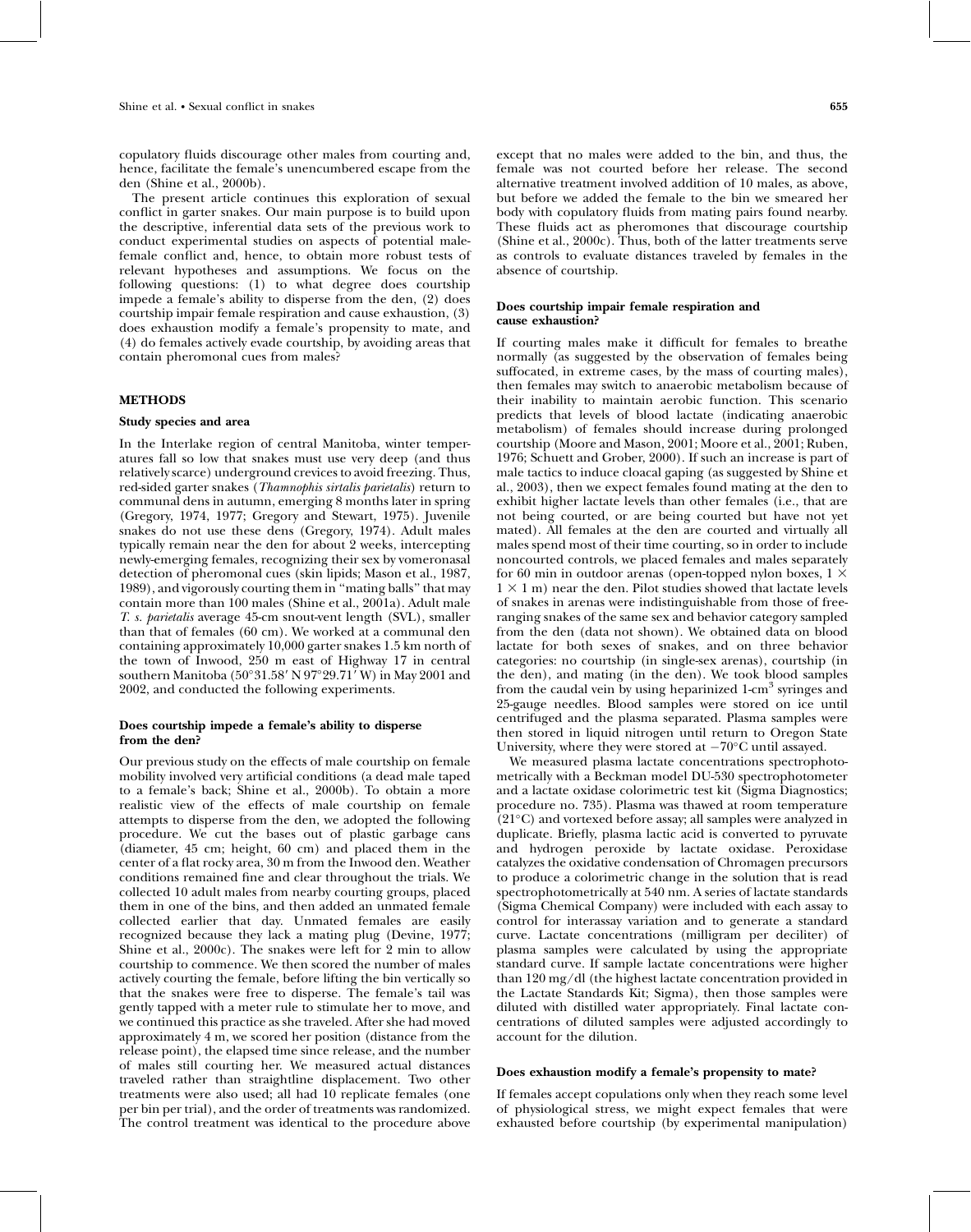copulatory fluids discourage other males from courting and, hence, facilitate the female's unencumbered escape from the den (Shine et al., 2000b).

The present article continues this exploration of sexual conflict in garter snakes. Our main purpose is to build upon the descriptive, inferential data sets of the previous work to conduct experimental studies on aspects of potential malefemale conflict and, hence, to obtain more robust tests of relevant hypotheses and assumptions. We focus on the following questions: (1) to what degree does courtship impede a female's ability to disperse from the den, (2) does courtship impair female respiration and cause exhaustion, (3) does exhaustion modify a female's propensity to mate, and (4) do females actively evade courtship, by avoiding areas that contain pheromonal cues from males?

## METHODS

## Study species and area

In the Interlake region of central Manitoba, winter temperatures fall so low that snakes must use very deep (and thus relatively scarce) underground crevices to avoid freezing. Thus, red-sided garter snakes (Thamnophis sirtalis parietalis) return to communal dens in autumn, emerging 8 months later in spring (Gregory, 1974, 1977; Gregory and Stewart, 1975). Juvenile snakes do not use these dens (Gregory, 1974). Adult males typically remain near the den for about 2 weeks, intercepting newly-emerging females, recognizing their sex by vomeronasal detection of pheromonal cues (skin lipids; Mason et al., 1987, 1989), and vigorously courting them in ''mating balls'' that may contain more than 100 males (Shine et al., 2001a). Adult male T. s. parietalis average 45-cm snout-vent length (SVL), smaller than that of females (60 cm). We worked at a communal den containing approximately 10,000 garter snakes 1.5 km north of the town of Inwood, 250 m east of Highway 17 in central southern Manitoba (50°31.58' N 97°29.71' W) in May 2001 and 2002, and conducted the following experiments.

## Does courtship impede a female's ability to disperse from the den?

Our previous study on the effects of male courtship on female mobility involved very artificial conditions (a dead male taped to a female's back; Shine et al., 2000b). To obtain a more realistic view of the effects of male courtship on female attempts to disperse from the den, we adopted the following procedure. We cut the bases out of plastic garbage cans (diameter, 45 cm; height, 60 cm) and placed them in the center of a flat rocky area, 30 m from the Inwood den. Weather conditions remained fine and clear throughout the trials. We collected 10 adult males from nearby courting groups, placed them in one of the bins, and then added an unmated female collected earlier that day. Unmated females are easily recognized because they lack a mating plug (Devine, 1977; Shine et al., 2000c). The snakes were left for 2 min to allow courtship to commence. We then scored the number of males actively courting the female, before lifting the bin vertically so that the snakes were free to disperse. The female's tail was gently tapped with a meter rule to stimulate her to move, and we continued this practice as she traveled. After she had moved approximately 4 m, we scored her position (distance from the release point), the elapsed time since release, and the number of males still courting her. We measured actual distances traveled rather than straightline displacement. Two other treatments were also used; all had 10 replicate females (one per bin per trial), and the order of treatments was randomized. The control treatment was identical to the procedure above

except that no males were added to the bin, and thus, the female was not courted before her release. The second alternative treatment involved addition of 10 males, as above, but before we added the female to the bin we smeared her body with copulatory fluids from mating pairs found nearby. These fluids act as pheromones that discourage courtship (Shine et al., 2000c). Thus, both of the latter treatments serve as controls to evaluate distances traveled by females in the absence of courtship.

## Does courtship impair female respiration and cause exhaustion?

If courting males make it difficult for females to breathe normally (as suggested by the observation of females being suffocated, in extreme cases, by the mass of courting males), then females may switch to anaerobic metabolism because of their inability to maintain aerobic function. This scenario predicts that levels of blood lactate (indicating anaerobic metabolism) of females should increase during prolonged courtship (Moore and Mason, 2001; Moore et al., 2001; Ruben, 1976; Schuett and Grober, 2000). If such an increase is part of male tactics to induce cloacal gaping (as suggested by Shine et al., 2003), then we expect females found mating at the den to exhibit higher lactate levels than other females (i.e., that are not being courted, or are being courted but have not yet mated). All females at the den are courted and virtually all males spend most of their time courting, so in order to include noncourted controls, we placed females and males separately for 60 min in outdoor arenas (open-topped nylon boxes,  $1 \times$  $1 \times 1$  m) near the den. Pilot studies showed that lactate levels of snakes in arenas were indistinguishable from those of freeranging snakes of the same sex and behavior category sampled from the den (data not shown). We obtained data on blood lactate for both sexes of snakes, and on three behavior categories: no courtship (in single-sex arenas), courtship (in the den), and mating (in the den). We took blood samples from the caudal vein by using heparinized 1-cm<sup>3</sup> syringes and 25-gauge needles. Blood samples were stored on ice until centrifuged and the plasma separated. Plasma samples were then stored in liquid nitrogen until return to Oregon State University, where they were stored at  $-70^{\circ}$ C until assayed.

We measured plasma lactate concentrations spectrophotometrically with a Beckman model DU-530 spectrophotometer and a lactate oxidase colorimetric test kit (Sigma Diagnostics; procedure no. 735). Plasma was thawed at room temperature  $(21^{\circ}C)$  and vortexed before assay; all samples were analyzed in duplicate. Briefly, plasma lactic acid is converted to pyruvate and hydrogen peroxide by lactate oxidase. Peroxidase catalyzes the oxidative condensation of Chromagen precursors to produce a colorimetric change in the solution that is read spectrophotometrically at 540 nm. A series of lactate standards (Sigma Chemical Company) were included with each assay to control for interassay variation and to generate a standard curve. Lactate concentrations (milligram per deciliter) of plasma samples were calculated by using the appropriate standard curve. If sample lactate concentrations were higher than 120 mg/dl (the highest lactate concentration provided in the Lactate Standards Kit; Sigma), then those samples were diluted with distilled water appropriately. Final lactate concentrations of diluted samples were adjusted accordingly to account for the dilution.

## Does exhaustion modify a female's propensity to mate?

If females accept copulations only when they reach some level of physiological stress, we might expect females that were exhausted before courtship (by experimental manipulation)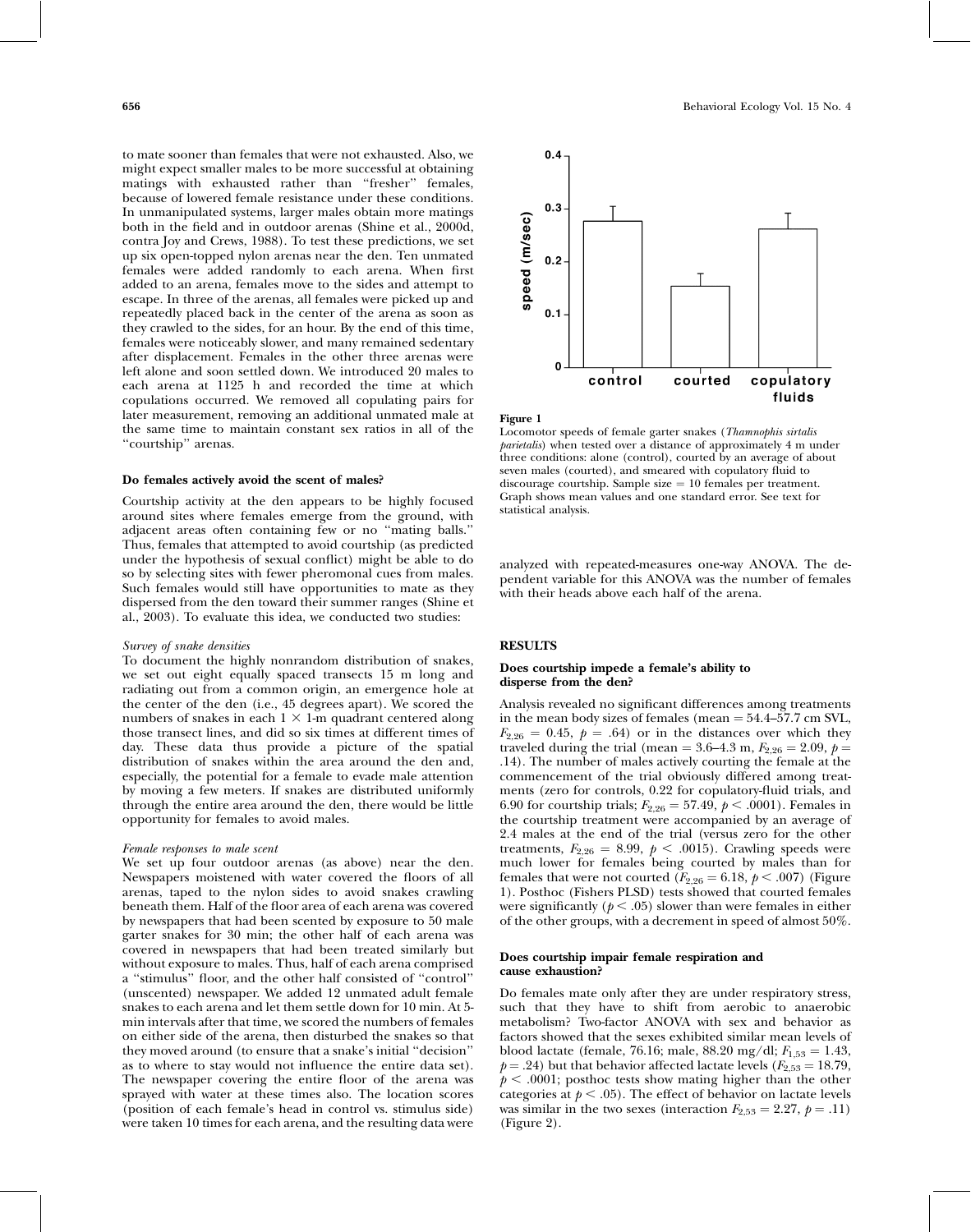to mate sooner than females that were not exhausted. Also, we might expect smaller males to be more successful at obtaining matings with exhausted rather than "fresher" females, because of lowered female resistance under these conditions. In unmanipulated systems, larger males obtain more matings both in the field and in outdoor arenas (Shine et al., 2000d, contra Joy and Crews, 1988). To test these predictions, we set up six open-topped nylon arenas near the den. Ten unmated females were added randomly to each arena. When first added to an arena, females move to the sides and attempt to escape. In three of the arenas, all females were picked up and repeatedly placed back in the center of the arena as soon as they crawled to the sides, for an hour. By the end of this time, females were noticeably slower, and many remained sedentary after displacement. Females in the other three arenas were left alone and soon settled down. We introduced 20 males to each arena at 1125 h and recorded the time at which copulations occurred. We removed all copulating pairs for later measurement, removing an additional unmated male at the same time to maintain constant sex ratios in all of the ''courtship'' arenas.

### Do females actively avoid the scent of males?

Courtship activity at the den appears to be highly focused around sites where females emerge from the ground, with adjacent areas often containing few or no ''mating balls.'' Thus, females that attempted to avoid courtship (as predicted under the hypothesis of sexual conflict) might be able to do so by selecting sites with fewer pheromonal cues from males. Such females would still have opportunities to mate as they dispersed from the den toward their summer ranges (Shine et al., 2003). To evaluate this idea, we conducted two studies:

## Survey of snake densities

To document the highly nonrandom distribution of snakes, we set out eight equally spaced transects 15 m long and radiating out from a common origin, an emergence hole at the center of the den (i.e., 45 degrees apart). We scored the numbers of snakes in each  $1 \times 1$ -m quadrant centered along those transect lines, and did so six times at different times of day. These data thus provide a picture of the spatial distribution of snakes within the area around the den and, especially, the potential for a female to evade male attention by moving a few meters. If snakes are distributed uniformly through the entire area around the den, there would be little opportunity for females to avoid males.

### Female responses to male scent

We set up four outdoor arenas (as above) near the den. Newspapers moistened with water covered the floors of all arenas, taped to the nylon sides to avoid snakes crawling beneath them. Half of the floor area of each arena was covered by newspapers that had been scented by exposure to 50 male garter snakes for 30 min; the other half of each arena was covered in newspapers that had been treated similarly but without exposure to males. Thus, half of each arena comprised a ''stimulus'' floor, and the other half consisted of ''control'' (unscented) newspaper. We added 12 unmated adult female snakes to each arena and let them settle down for 10 min. At 5 min intervals after that time, we scored the numbers of females on either side of the arena, then disturbed the snakes so that they moved around (to ensure that a snake's initial ''decision'' as to where to stay would not influence the entire data set). The newspaper covering the entire floor of the arena was sprayed with water at these times also. The location scores (position of each female's head in control vs. stimulus side) were taken 10 times for each arena, and the resulting data were



Figure 1

Locomotor speeds of female garter snakes (Thamnophis sirtalis parietalis) when tested over a distance of approximately 4 m under three conditions: alone (control), courted by an average of about seven males (courted), and smeared with copulatory fluid to discourage courtship. Sample size  $= 10$  females per treatment. Graph shows mean values and one standard error. See text for statistical analysis.

analyzed with repeated-measures one-way ANOVA. The dependent variable for this ANOVA was the number of females with their heads above each half of the arena.

## **RESULTS**

## Does courtship impede a female's ability to disperse from the den?

Analysis revealed no significant differences among treatments in the mean body sizes of females (mean  $= 54.4 - 57.7$  cm SVL,  $F_{2,26} = 0.45$ ,  $p = .64$ ) or in the distances over which they traveled during the trial (mean = 3.6–4.3 m,  $F_{2,26} = 2.09$ ,  $p =$ .14). The number of males actively courting the female at the commencement of the trial obviously differed among treatments (zero for controls, 0.22 for copulatory-fluid trials, and 6.90 for courtship trials;  $F_{2,26} = 57.49, p < .0001$ ). Females in the courtship treatment were accompanied by an average of 2.4 males at the end of the trial (versus zero for the other treatments,  $F_{2,26} = 8.99$ ,  $p < .0015$ ). Crawling speeds were much lower for females being courted by males than for females that were not courted ( $F_{2,26} = 6.18$ ,  $p < .007$ ) (Figure 1). Posthoc (Fishers PLSD) tests showed that courted females were significantly ( $p < .05$ ) slower than were females in either of the other groups, with a decrement in speed of almost 50%.

## Does courtship impair female respiration and cause exhaustion?

Do females mate only after they are under respiratory stress, such that they have to shift from aerobic to anaerobic metabolism? Two-factor ANOVA with sex and behavior as factors showed that the sexes exhibited similar mean levels of blood lactate (female, 76.16; male, 88.20 mg/dl;  $F_{1,53} = 1.43$ ,  $p = .24$ ) but that behavior affected lactate levels ( $F_{2,53} = 18.79$ ,  $p < .0001$ ; posthoc tests show mating higher than the other categories at  $p < .05$ ). The effect of behavior on lactate levels was similar in the two sexes (interaction  $F_{2,53} = 2.27, p = .11$ ) (Figure 2).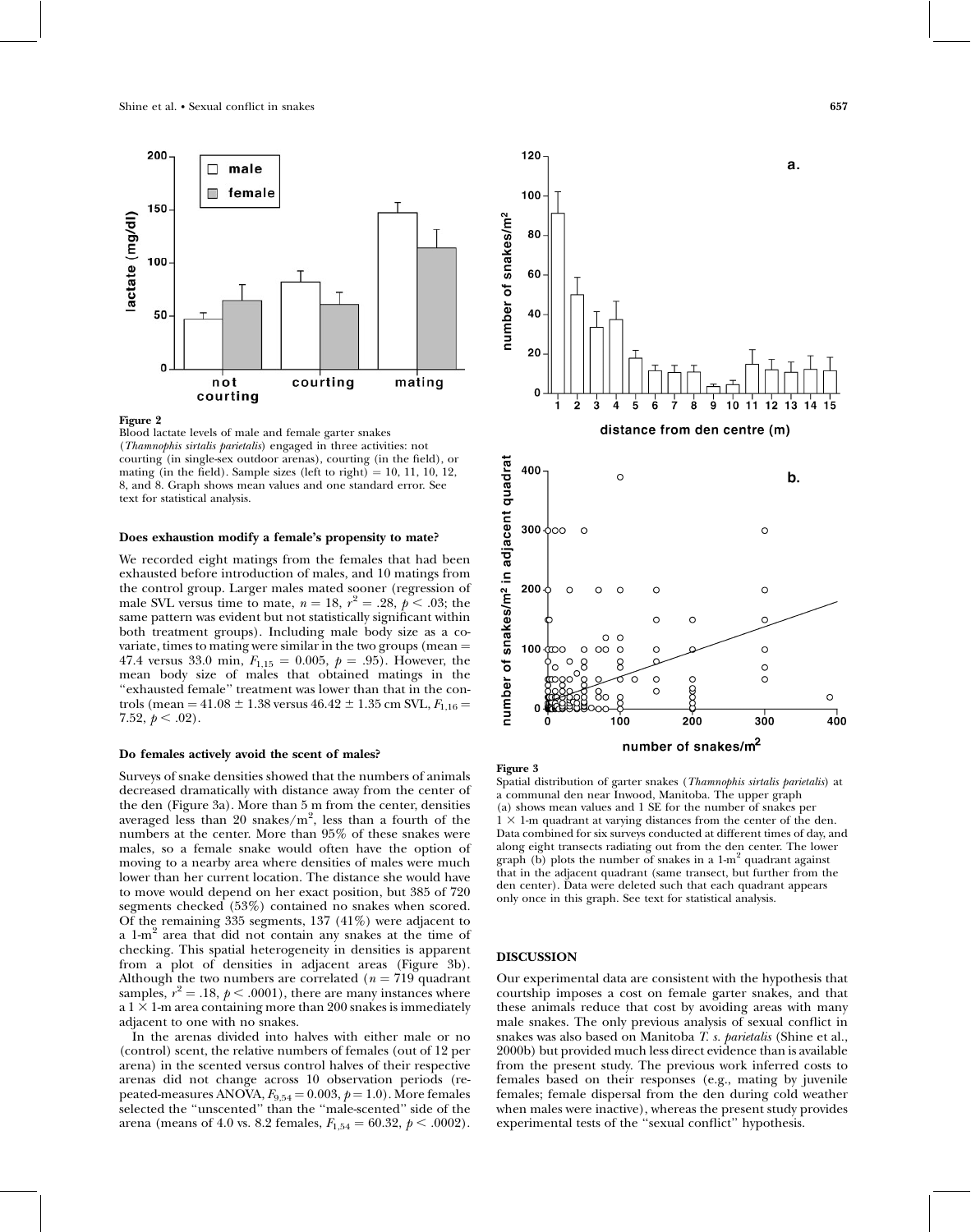

## Figure 2

Blood lactate levels of male and female garter snakes (Thamnophis sirtalis parietalis) engaged in three activities: not courting (in single-sex outdoor arenas), courting (in the field), or mating (in the field). Sample sizes (left to right)  $= 10, 11, 10, 12,$ 8, and 8. Graph shows mean values and one standard error. See text for statistical analysis.

## Does exhaustion modify a female's propensity to mate?

We recorded eight matings from the females that had been exhausted before introduction of males, and 10 matings from the control group. Larger males mated sooner (regression of male SVL versus time to mate,  $n = 18$ ,  $r^2 = .28$ ,  $p < .03$ ; the same pattern was evident but not statistically significant within both treatment groups). Including male body size as a covariate, times to mating were similar in the two groups (mean  $=$ 47.4 versus 33.0 min,  $F_{1,15} = 0.005$ ,  $p = .95$ ). However, the mean body size of males that obtained matings in the ''exhausted female'' treatment was lower than that in the controls (mean = 41.08  $\pm$  1.38 versus 46.42  $\pm$  1.35 cm SVL,  $F_{1,16}$  = 7.52,  $p < .02$ ).

## Do females actively avoid the scent of males?

Surveys of snake densities showed that the numbers of animals decreased dramatically with distance away from the center of the den (Figure 3a). More than 5 m from the center, densities averaged less than 20 snakes/ $m^2$ , less than a fourth of the numbers at the center. More than 95% of these snakes were males, so a female snake would often have the option of moving to a nearby area where densities of males were much lower than her current location. The distance she would have to move would depend on her exact position, but 385 of 720 segments checked (53%) contained no snakes when scored. Of the remaining 335 segments, 137 (41%) were adjacent to a 1-m<sup>2</sup> area that did not contain any snakes at the time of checking. This spatial heterogeneity in densities is apparent from a plot of densities in adjacent areas (Figure 3b). Although the two numbers are correlated ( $n = 719$  quadrant samples,  $r^2 = .18$ ,  $p < .0001$ ), there are many instances where a  $1 \times 1$ -m area containing more than 200 snakes is immediately adjacent to one with no snakes.

In the arenas divided into halves with either male or no (control) scent, the relative numbers of females (out of 12 per arena) in the scented versus control halves of their respective arenas did not change across 10 observation periods (repeated-measures ANOVA,  $F_{9,54} = 0.003$ ,  $p = 1.0$ ). More females selected the ''unscented'' than the ''male-scented'' side of the arena (means of 4.0 vs. 8.2 females,  $F_{1,54} = 60.32, p < .0002$ ).



### Figure 3

Spatial distribution of garter snakes (Thamnophis sirtalis parietalis) at a communal den near Inwood, Manitoba. The upper graph (a) shows mean values and 1 SE for the number of snakes per  $1 \times 1$ -m quadrant at varying distances from the center of the den. Data combined for six surveys conducted at different times of day, and along eight transects radiating out from the den center. The lower graph (b) plots the number of snakes in a  $1-m^2$  quadrant against that in the adjacent quadrant (same transect, but further from the den center). Data were deleted such that each quadrant appears only once in this graph. See text for statistical analysis.

## DISCUSSION

Our experimental data are consistent with the hypothesis that courtship imposes a cost on female garter snakes, and that these animals reduce that cost by avoiding areas with many male snakes. The only previous analysis of sexual conflict in snakes was also based on Manitoba T. s. parietalis (Shine et al., 2000b) but provided much less direct evidence than is available from the present study. The previous work inferred costs to females based on their responses (e.g., mating by juvenile females; female dispersal from the den during cold weather when males were inactive), whereas the present study provides experimental tests of the ''sexual conflict'' hypothesis.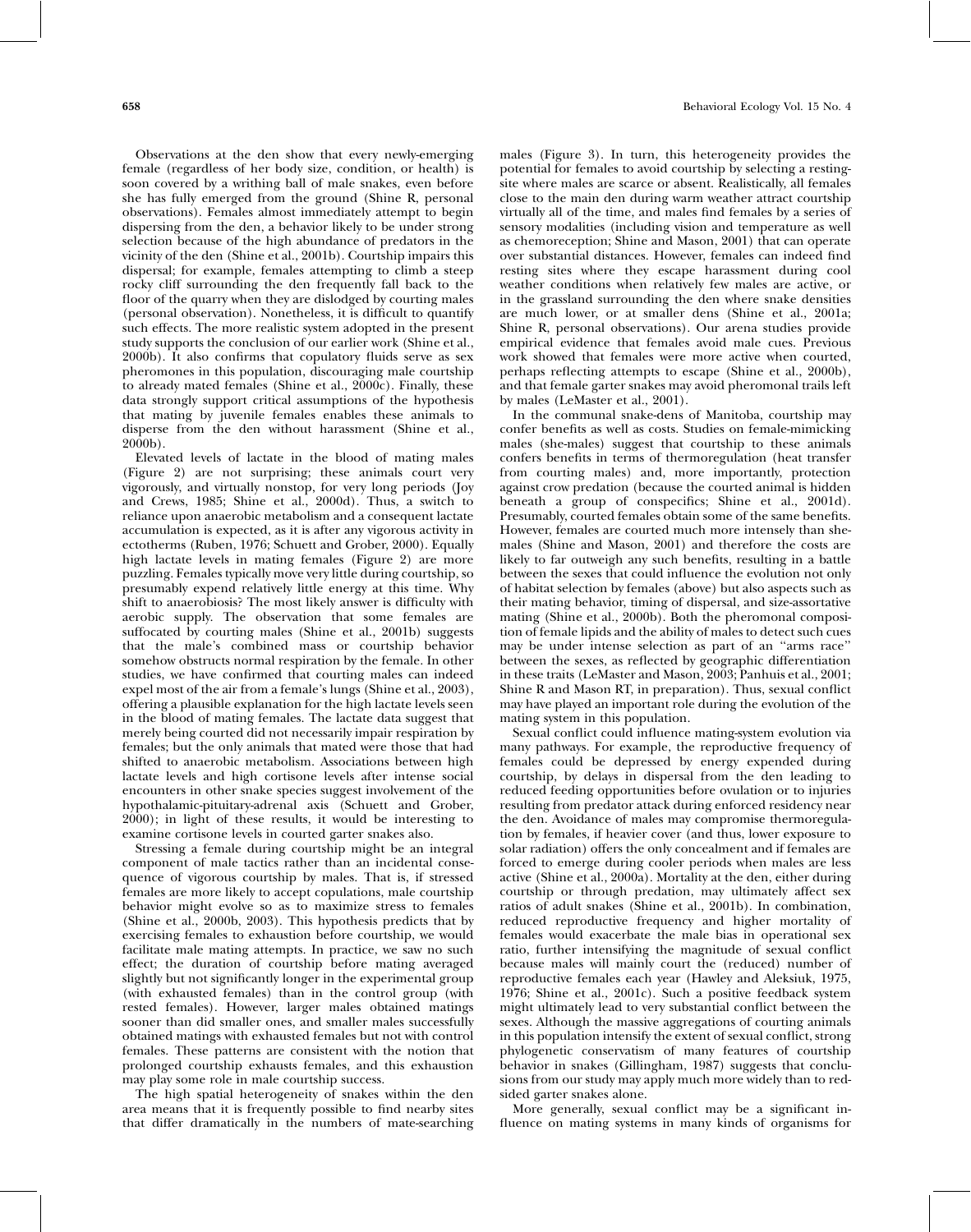Observations at the den show that every newly-emerging female (regardless of her body size, condition, or health) is soon covered by a writhing ball of male snakes, even before she has fully emerged from the ground (Shine R, personal observations). Females almost immediately attempt to begin dispersing from the den, a behavior likely to be under strong selection because of the high abundance of predators in the vicinity of the den (Shine et al., 2001b). Courtship impairs this dispersal; for example, females attempting to climb a steep rocky cliff surrounding the den frequently fall back to the floor of the quarry when they are dislodged by courting males (personal observation). Nonetheless, it is difficult to quantify such effects. The more realistic system adopted in the present study supports the conclusion of our earlier work (Shine et al., 2000b). It also confirms that copulatory fluids serve as sex pheromones in this population, discouraging male courtship to already mated females (Shine et al.,  $2000c$ ). Finally, these data strongly support critical assumptions of the hypothesis that mating by juvenile females enables these animals to disperse from the den without harassment (Shine et al., 2000b).

Elevated levels of lactate in the blood of mating males (Figure 2) are not surprising; these animals court very vigorously, and virtually nonstop, for very long periods (Joy and Crews, 1985; Shine et al., 2000d). Thus, a switch to reliance upon anaerobic metabolism and a consequent lactate accumulation is expected, as it is after any vigorous activity in ectotherms (Ruben, 1976; Schuett and Grober, 2000). Equally high lactate levels in mating females (Figure 2) are more puzzling. Females typically move very little during courtship, so presumably expend relatively little energy at this time. Why shift to anaerobiosis? The most likely answer is difficulty with aerobic supply. The observation that some females are suffocated by courting males (Shine et al., 2001b) suggests that the male's combined mass or courtship behavior somehow obstructs normal respiration by the female. In other studies, we have confirmed that courting males can indeed expel most of the air from a female's lungs (Shine et al., 2003), offering a plausible explanation for the high lactate levels seen in the blood of mating females. The lactate data suggest that merely being courted did not necessarily impair respiration by females; but the only animals that mated were those that had shifted to anaerobic metabolism. Associations between high lactate levels and high cortisone levels after intense social encounters in other snake species suggest involvement of the hypothalamic-pituitary-adrenal axis (Schuett and Grober, 2000); in light of these results, it would be interesting to examine cortisone levels in courted garter snakes also.

Stressing a female during courtship might be an integral component of male tactics rather than an incidental consequence of vigorous courtship by males. That is, if stressed females are more likely to accept copulations, male courtship behavior might evolve so as to maximize stress to females (Shine et al., 2000b, 2003). This hypothesis predicts that by exercising females to exhaustion before courtship, we would facilitate male mating attempts. In practice, we saw no such effect; the duration of courtship before mating averaged slightly but not significantly longer in the experimental group (with exhausted females) than in the control group (with rested females). However, larger males obtained matings sooner than did smaller ones, and smaller males successfully obtained matings with exhausted females but not with control females. These patterns are consistent with the notion that prolonged courtship exhausts females, and this exhaustion may play some role in male courtship success.

The high spatial heterogeneity of snakes within the den area means that it is frequently possible to find nearby sites that differ dramatically in the numbers of mate-searching males (Figure 3). In turn, this heterogeneity provides the potential for females to avoid courtship by selecting a restingsite where males are scarce or absent. Realistically, all females close to the main den during warm weather attract courtship virtually all of the time, and males find females by a series of sensory modalities (including vision and temperature as well as chemoreception; Shine and Mason, 2001) that can operate over substantial distances. However, females can indeed find resting sites where they escape harassment during cool weather conditions when relatively few males are active, or in the grassland surrounding the den where snake densities are much lower, or at smaller dens (Shine et al., 2001a; Shine R, personal observations). Our arena studies provide empirical evidence that females avoid male cues. Previous work showed that females were more active when courted, perhaps reflecting attempts to escape (Shine et al., 2000b), and that female garter snakes may avoid pheromonal trails left by males (LeMaster et al., 2001).

In the communal snake-dens of Manitoba, courtship may confer benefits as well as costs. Studies on female-mimicking males (she-males) suggest that courtship to these animals confers benefits in terms of thermoregulation (heat transfer from courting males) and, more importantly, protection against crow predation (because the courted animal is hidden beneath a group of conspecifics; Shine et al., 2001d). Presumably, courted females obtain some of the same benefits. However, females are courted much more intensely than shemales (Shine and Mason, 2001) and therefore the costs are likely to far outweigh any such benefits, resulting in a battle between the sexes that could influence the evolution not only of habitat selection by females (above) but also aspects such as their mating behavior, timing of dispersal, and size-assortative mating (Shine et al., 2000b). Both the pheromonal composition of female lipids and the ability of males to detect such cues may be under intense selection as part of an ''arms race'' between the sexes, as reflected by geographic differentiation in these traits (LeMaster and Mason, 2003; Panhuis et al., 2001; Shine R and Mason RT, in preparation). Thus, sexual conflict may have played an important role during the evolution of the mating system in this population.

Sexual conflict could influence mating-system evolution via many pathways. For example, the reproductive frequency of females could be depressed by energy expended during courtship, by delays in dispersal from the den leading to reduced feeding opportunities before ovulation or to injuries resulting from predator attack during enforced residency near the den. Avoidance of males may compromise thermoregulation by females, if heavier cover (and thus, lower exposure to solar radiation) offers the only concealment and if females are forced to emerge during cooler periods when males are less active (Shine et al., 2000a). Mortality at the den, either during courtship or through predation, may ultimately affect sex ratios of adult snakes (Shine et al., 2001b). In combination, reduced reproductive frequency and higher mortality of females would exacerbate the male bias in operational sex ratio, further intensifying the magnitude of sexual conflict because males will mainly court the (reduced) number of reproductive females each year (Hawley and Aleksiuk, 1975, 1976; Shine et al., 2001c). Such a positive feedback system might ultimately lead to very substantial conflict between the sexes. Although the massive aggregations of courting animals in this population intensify the extent of sexual conflict, strong phylogenetic conservatism of many features of courtship behavior in snakes (Gillingham, 1987) suggests that conclusions from our study may apply much more widely than to redsided garter snakes alone.

More generally, sexual conflict may be a significant influence on mating systems in many kinds of organisms for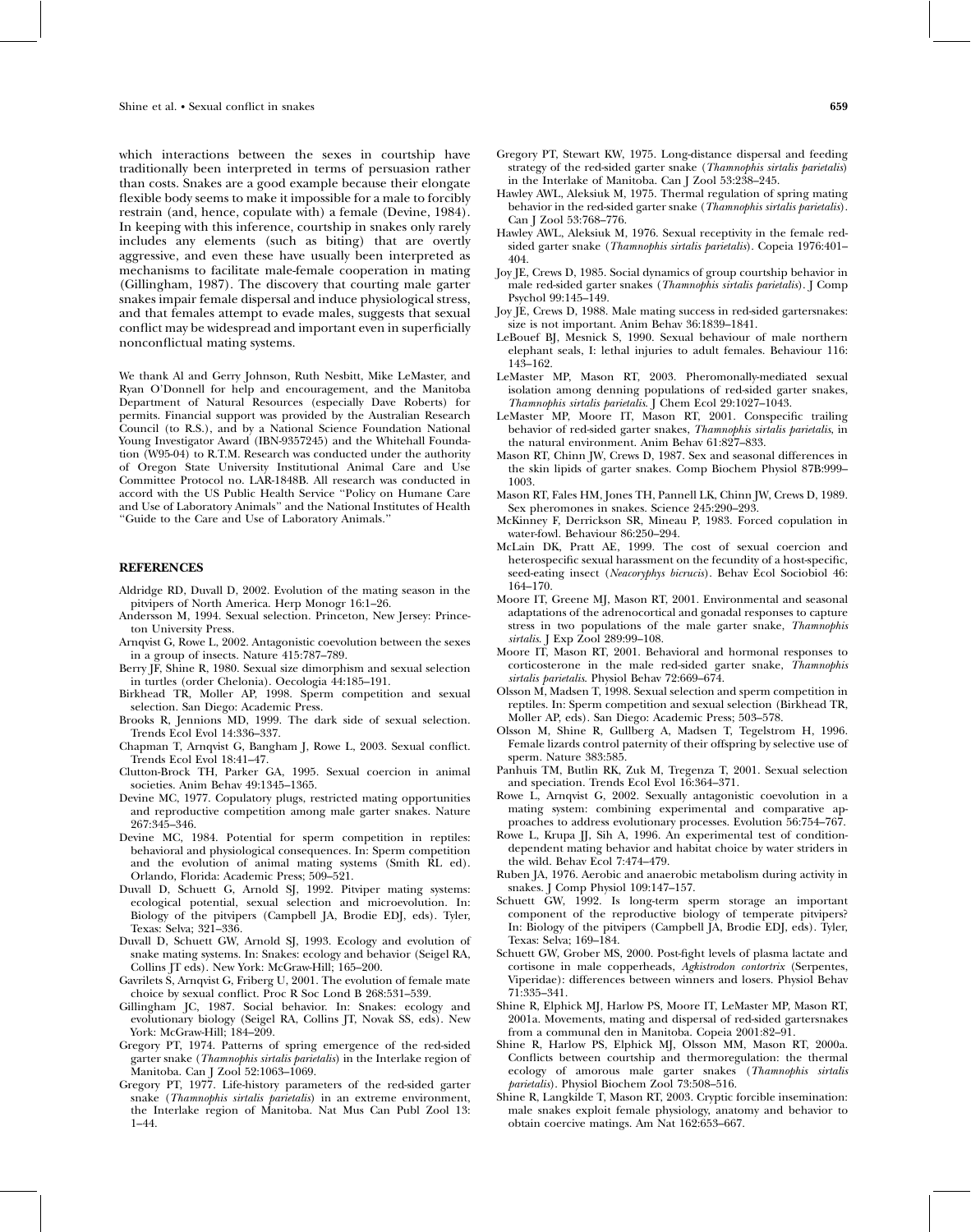which interactions between the sexes in courtship have traditionally been interpreted in terms of persuasion rather than costs. Snakes are a good example because their elongate flexible body seems to make it impossible for a male to forcibly restrain (and, hence, copulate with) a female (Devine, 1984). In keeping with this inference, courtship in snakes only rarely includes any elements (such as biting) that are overtly aggressive, and even these have usually been interpreted as mechanisms to facilitate male-female cooperation in mating (Gillingham, 1987). The discovery that courting male garter snakes impair female dispersal and induce physiological stress, and that females attempt to evade males, suggests that sexual conflict may be widespread and important even in superficially nonconflictual mating systems.

We thank Al and Gerry Johnson, Ruth Nesbitt, Mike LeMaster, and Ryan O'Donnell for help and encouragement, and the Manitoba Department of Natural Resources (especially Dave Roberts) for permits. Financial support was provided by the Australian Research Council (to R.S.), and by a National Science Foundation National Young Investigator Award (IBN-9357245) and the Whitehall Foundation (W95-04) to R.T.M. Research was conducted under the authority of Oregon State University Institutional Animal Care and Use Committee Protocol no. LAR-1848B. All research was conducted in accord with the US Public Health Service ''Policy on Humane Care and Use of Laboratory Animals'' and the National Institutes of Health ''Guide to the Care and Use of Laboratory Animals.''

## **REFERENCES**

- Aldridge RD, Duvall D, 2002. Evolution of the mating season in the pitvipers of North America. Herp Monogr 16:1–26.
- Andersson M, 1994. Sexual selection. Princeton, New Jersey: Princeton University Press.
- Arnqvist G, Rowe L, 2002. Antagonistic coevolution between the sexes in a group of insects. Nature 415:787–789.
- Berry JF, Shine R, 1980. Sexual size dimorphism and sexual selection in turtles (order Chelonia). Oecologia 44:185–191.
- Birkhead TR, Moller AP, 1998. Sperm competition and sexual selection. San Diego: Academic Press.
- Brooks R, Jennions MD, 1999. The dark side of sexual selection. Trends Ecol Evol 14:336–337.
- Chapman T, Arnqvist G, Bangham J, Rowe L, 2003. Sexual conflict. Trends Ecol Evol 18:41–47.
- Clutton-Brock TH, Parker GA, 1995. Sexual coercion in animal societies. Anim Behav 49:1345–1365.
- Devine MC, 1977. Copulatory plugs, restricted mating opportunities and reproductive competition among male garter snakes. Nature 267:345–346.
- Devine MC, 1984. Potential for sperm competition in reptiles: behavioral and physiological consequences. In: Sperm competition and the evolution of animal mating systems (Smith RL ed). Orlando, Florida: Academic Press; 509–521.
- Duvall D, Schuett G, Arnold SJ, 1992. Pitviper mating systems: ecological potential, sexual selection and microevolution. In: Biology of the pitvipers (Campbell JA, Brodie EDJ, eds). Tyler, Texas: Selva; 321–336.
- Duvall D, Schuett GW, Arnold SJ, 1993. Ecology and evolution of snake mating systems. In: Snakes: ecology and behavior (Seigel RA, Collins JT eds). New York: McGraw-Hill; 165–200.
- Gavrilets S, Arnqvist G, Friberg U, 2001. The evolution of female mate choice by sexual conflict. Proc R Soc Lond B 268:531–539.
- Gillingham JC, 1987. Social behavior. In: Snakes: ecology and evolutionary biology (Seigel RA, Collins JT, Novak SS, eds). New York: McGraw-Hill; 184–209.
- Gregory PT, 1974. Patterns of spring emergence of the red-sided garter snake (Thamnophis sirtalis parietalis) in the Interlake region of Manitoba. Can J Zool 52:1063–1069.
- Gregory PT, 1977. Life-history parameters of the red-sided garter snake (Thamnophis sirtalis parietalis) in an extreme environment, the Interlake region of Manitoba. Nat Mus Can Publ Zool 13: 1–44.
- Gregory PT, Stewart KW, 1975. Long-distance dispersal and feeding strategy of the red-sided garter snake (Thamnophis sirtalis parietalis) in the Interlake of Manitoba. Can J Zool 53:238–245.
- Hawley AWL, Aleksiuk M, 1975. Thermal regulation of spring mating behavior in the red-sided garter snake (Thamnophis sirtalis parietalis). Can J Zool 53:768–776.
- Hawley AWL, Aleksiuk M, 1976. Sexual receptivity in the female redsided garter snake (Thamnophis sirtalis parietalis). Copeia 1976:401-404.
- Joy JE, Crews D, 1985. Social dynamics of group courtship behavior in male red-sided garter snakes (Thamnophis sirtalis parietalis). J Comp Psychol 99:145–149.
- Joy JE, Crews D, 1988. Male mating success in red-sided gartersnakes: size is not important. Anim Behav 36:1839–1841.
- LeBouef BJ, Mesnick S, 1990. Sexual behaviour of male northern elephant seals, I: lethal injuries to adult females. Behaviour 116: 143–162.
- LeMaster MP, Mason RT, 2003. Pheromonally-mediated sexual isolation among denning populations of red-sided garter snakes, Thamnophis sirtalis parietalis. J Chem Ecol 29:1027–1043.
- LeMaster MP, Moore IT, Mason RT, 2001. Conspecific trailing behavior of red-sided garter snakes, Thamnophis sirtalis parietalis, in the natural environment. Anim Behav 61:827–833.
- Mason RT, Chinn JW, Crews D, 1987. Sex and seasonal differences in the skin lipids of garter snakes. Comp Biochem Physiol 87B:999– 1003.
- Mason RT, Fales HM, Jones TH, Pannell LK, Chinn JW, Crews D, 1989. Sex pheromones in snakes. Science 245:290–293.
- McKinney F, Derrickson SR, Mineau P, 1983. Forced copulation in water-fowl. Behaviour 86:250–294.
- McLain DK, Pratt AE, 1999. The cost of sexual coercion and heterospecific sexual harassment on the fecundity of a host-specific, seed-eating insect (Neacoryphys bicrucis). Behav Ecol Sociobiol 46: 164–170.
- Moore IT, Greene MJ, Mason RT, 2001. Environmental and seasonal adaptations of the adrenocortical and gonadal responses to capture stress in two populations of the male garter snake, Thamnophis sirtalis. J Exp Zool 289:99-108.
- Moore IT, Mason RT, 2001. Behavioral and hormonal responses to corticosterone in the male red-sided garter snake, Thamnophis sirtalis parietalis. Physiol Behav 72:669–674.
- Olsson M, Madsen T, 1998. Sexual selection and sperm competition in reptiles. In: Sperm competition and sexual selection (Birkhead TR, Moller AP, eds). San Diego: Academic Press; 503–578.
- Olsson M, Shine R, Gullberg A, Madsen T, Tegelstrom H, 1996. Female lizards control paternity of their offspring by selective use of sperm. Nature 383:585.
- Panhuis TM, Butlin RK, Zuk M, Tregenza T, 2001. Sexual selection and speciation. Trends Ecol Evol 16:364–371.
- Rowe L, Arnqvist G, 2002. Sexually antagonistic coevolution in a mating system: combining experimental and comparative approaches to address evolutionary processes. Evolution 56:754–767.
- Rowe L, Krupa JJ, Sih A, 1996. An experimental test of conditiondependent mating behavior and habitat choice by water striders in the wild. Behav Ecol 7:474–479.
- Ruben JA, 1976. Aerobic and anaerobic metabolism during activity in snakes. J Comp Physiol 109:147-157.
- Schuett GW, 1992. Is long-term sperm storage an important component of the reproductive biology of temperate pitvipers? In: Biology of the pitvipers (Campbell JA, Brodie EDJ, eds). Tyler, Texas: Selva; 169–184.
- Schuett GW, Grober MS, 2000. Post-fight levels of plasma lactate and cortisone in male copperheads, Agkistrodon contortrix (Serpentes, Viperidae): differences between winners and losers. Physiol Behav 71:335–341.
- Shine R, Elphick MJ, Harlow PS, Moore IT, LeMaster MP, Mason RT, 2001a. Movements, mating and dispersal of red-sided gartersnakes from a communal den in Manitoba. Copeia 2001:82–91.
- Shine R, Harlow PS, Elphick MJ, Olsson MM, Mason RT, 2000a. Conflicts between courtship and thermoregulation: the thermal ecology of amorous male garter snakes (Thamnophis sirtalis parietalis). Physiol Biochem Zool 73:508–516.
- Shine R, Langkilde T, Mason RT, 2003. Cryptic forcible insemination: male snakes exploit female physiology, anatomy and behavior to obtain coercive matings. Am Nat 162:653–667.